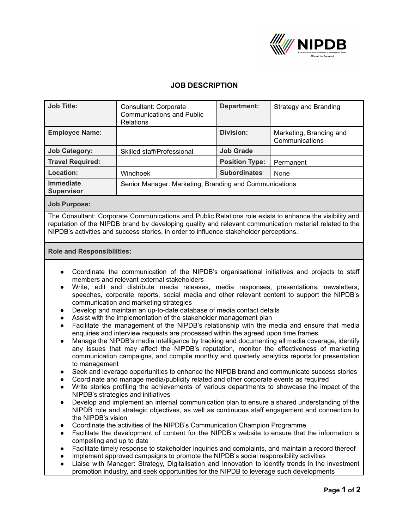

## **JOB DESCRIPTION**

| <b>Job Title:</b>                     | Consultant: Corporate<br><b>Communications and Public</b><br><b>Relations</b> | Department:           | Strategy and Branding                     |
|---------------------------------------|-------------------------------------------------------------------------------|-----------------------|-------------------------------------------|
| <b>Employee Name:</b>                 |                                                                               | Division:             | Marketing, Branding and<br>Communications |
| <b>Job Category:</b>                  | Skilled staff/Professional                                                    | <b>Job Grade</b>      |                                           |
| <b>Travel Required:</b>               |                                                                               | <b>Position Type:</b> | Permanent                                 |
| Location:                             | Windhoek                                                                      | <b>Subordinates</b>   | None                                      |
| <b>Immediate</b><br><b>Supervisor</b> | Senior Manager: Marketing, Branding and Communications                        |                       |                                           |

**Job Purpose:**

The Consultant: Corporate Communications and Public Relations role exists to enhance the visibility and reputation of the NIPDB brand by developing quality and relevant communication material related to the NIPDB's activities and success stories, in order to influence stakeholder perceptions.

## **Role and Responsibilities:**

- Coordinate the communication of the NIPDB's organisational initiatives and projects to staff members and relevant external stakeholders
- Write, edit and distribute media releases, media responses, presentations, newsletters, speeches, corporate reports, social media and other relevant content to support the NIPDB's communication and marketing strategies
- Develop and maintain an up-to-date database of media contact details
- Assist with the implementation of the stakeholder management plan
- Facilitate the management of the NIPDB's relationship with the media and ensure that media enquiries and interview requests are processed within the agreed upon time frames
- Manage the NIPDB's media intelligence by tracking and documenting all media coverage, identify any issues that may affect the NIPDB's reputation, monitor the effectiveness of marketing communication campaigns, and compile monthly and quarterly analytics reports for presentation to management
- Seek and leverage opportunities to enhance the NIPDB brand and communicate success stories
- Coordinate and manage media/publicity related and other corporate events as required
- Write stories profiling the achievements of various departments to showcase the impact of the NIPDB's strategies and initiatives
- Develop and implement an internal communication plan to ensure a shared understanding of the NIPDB role and strategic objectives, as well as continuous staff engagement and connection to the NIPDB's vision
- Coordinate the activities of the NIPDB's Communication Champion Programme
- Facilitate the development of content for the NIPDB's website to ensure that the information is compelling and up to date
- Facilitate timely response to stakeholder inquiries and complaints, and maintain a record thereof
- Implement approved campaigns to promote the NIPDB's social responsibility activities
- Liaise with Manager: Strategy, Digitalisation and Innovation to identify trends in the investment promotion industry, and seek opportunities for the NIPDB to leverage such developments